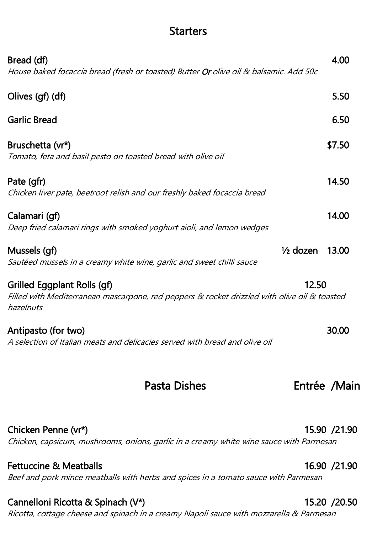# **Starters**

| <b>Fettuccine &amp; Meatballs</b><br>Beef and pork mince meatballs with herbs and spices in a tomato sauce with Parmesan                 |       | 16.90 / 21.90 |
|------------------------------------------------------------------------------------------------------------------------------------------|-------|---------------|
| Chicken Penne (vr*)<br>Chicken, capsicum, mushrooms, onions, garlic in a creamy white wine sauce with Parmesan                           |       | 15.90 / 21.90 |
| Pasta Dishes                                                                                                                             |       | Entrée /Main  |
| Antipasto (for two)<br>A selection of Italian meats and delicacies served with bread and olive oil                                       |       | 30.00         |
| Grilled Eggplant Rolls (gf)<br>Filled with Mediterranean mascarpone, red peppers & rocket drizzled with olive oil & toasted<br>hazelnuts | 12.50 |               |
| $\frac{1}{2}$ dozen<br>Mussels (gf)<br>Sautéed mussels in a creamy white wine, garlic and sweet chilli sauce                             |       | 13.00         |
| Calamari (gf)<br>Deep fried calamari rings with smoked yoghurt aioli, and lemon wedges                                                   |       | 14.00         |
| Pate (gfr)<br>Chicken liver pate, beetroot relish and our freshly baked focaccia bread                                                   |       | 14.50         |
| Bruschetta (vr*)<br>Tomato, feta and basil pesto on toasted bread with olive oil                                                         |       | \$7.50        |
| <b>Garlic Bread</b>                                                                                                                      |       | 6.50          |
| Olives (gf) (df)                                                                                                                         |       | 5.50          |
| Bread (df)<br>House baked focaccia bread (fresh or toasted) Butter Or olive oil & balsamic. Add 50c                                      |       | 4.00          |

### Cannelloni Ricotta & Spinach (V\*) 15.20 /20.50

Ricotta, cottage cheese and spinach in a creamy Napoli sauce with mozzarella & Parmesan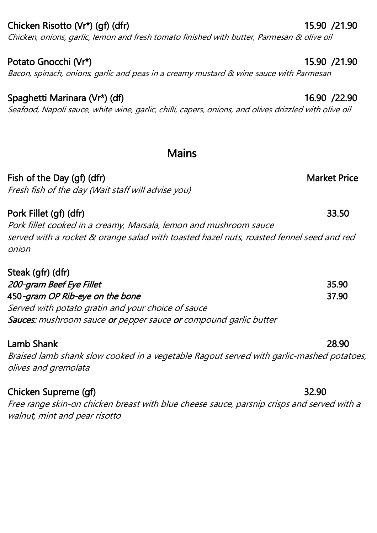## Chicken Risotto (Vr\*) (gf) (dfr) 15.90 /21.90

Chicken, onions, garlic, lemon and fresh tomato finished with butter, Parmesan & olive oil

# Potato Gnocchi (Vr\*) 15.90 /21.90

# Bacon, spinach, onions, garlic and peas in a creamy mustard & wine sauce with Parmesan

## Spaghetti Marinara (Vr\*) (df) 16.90 /22.90

Seafood, Napoli sauce, white wine, garlic, chilli, capers, onions, and olives drizzled with olive oil

# **Mains**

## Fish of the Day (gf) (dfr) Market Price

Fresh fish of the day (Wait staff will advise you)

Pork Fillet (gf) (dfr) 33.50 Pork fillet cooked in a creamy, Marsala, lemon and mushroom sauce served with a rocket & orange salad with toasted hazel nuts, roasted fennel seed and red onion

| Steak (gfr) (dfr)                                                |       |
|------------------------------------------------------------------|-------|
| 200-gram Beef Eye Fillet                                         | 35.90 |
| 450-gram OP Rib-eye on the bone                                  | 37.90 |
| Served with potato gratin and your choice of sauce               |       |
| Sauces: mushroom sauce or pepper sauce or compound garlic butter |       |

### Lamb Shank 28.90 Braised lamb shank slow cooked in a vegetable Ragout served with garlic-mashed potatoes, olives and gremolata

## Chicken Supreme (gf) 32.90

Free range skin-on chicken breast with blue cheese sauce, parsnip crisps and served with a walnut, mint and pear risotto